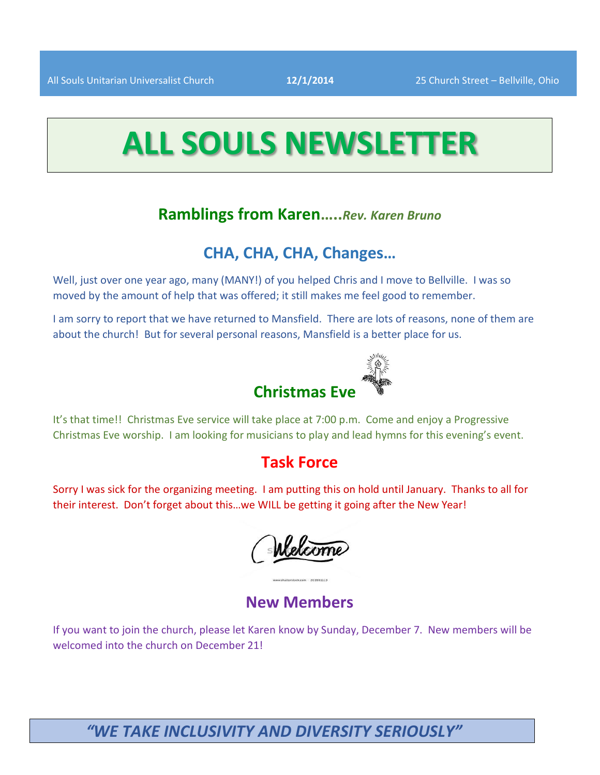# **ALL SOULS NEWSLETTER**

# **Ramblings from Karen…..***Rev. Karen Bruno*

# **CHA, CHA, CHA, Changes…**

Well, just over one year ago, many (MANY!) of you helped Chris and I move to Bellville. I was so moved by the amount of help that was offered; it still makes me feel good to remember.

I am sorry to report that we have returned to Mansfield. There are lots of reasons, none of them are about the church! But for several personal reasons, Mansfield is a better place for us.

# **Christmas Eve**

It's that time!! Christmas Eve service will take place at 7:00 p.m. Come and enjoy a Progressive Christmas Eve worship. I am looking for musicians to play and lead hymns for this evening's event.

# **Task Force**

Sorry I was sick for the organizing meeting. I am putting this on hold until January. Thanks to all for their interest. Don't forget about this…we WILL be getting it going after the New Year!

Welcome

# **New Members**

If you want to join the church, please let Karen know by Sunday, December 7. New members will be welcomed into the church on December 21!

# *"WE TAKE INCLUSIVITY AND DIVERSITY SERIOUSLY"*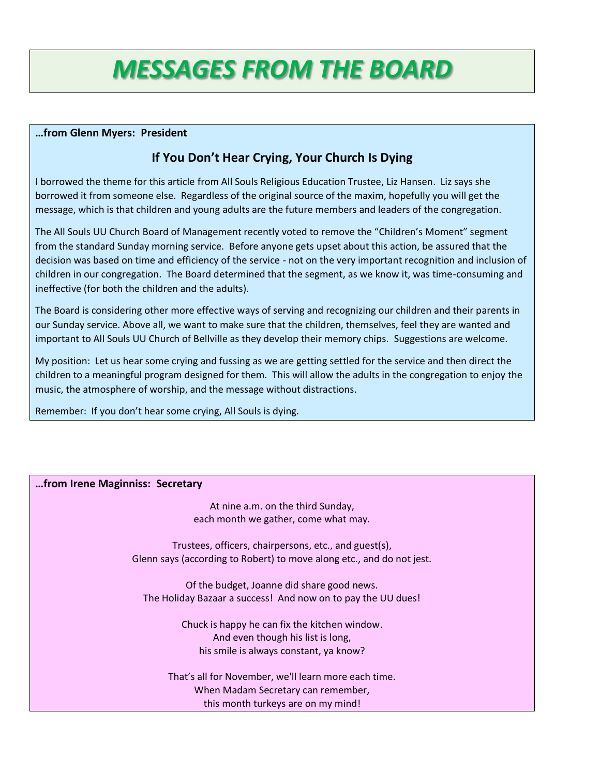# *MESSAGES FROM THE BOARD*

#### **…from Glenn Myers: President**

# **If You Don't Hear Crying, Your Church Is Dying**

I borrowed the theme for this article from All Souls Religious Education Trustee, Liz Hansen. Liz says she borrowed it from someone else. Regardless of the original source of the maxim, hopefully you will get the message, which is that children and young adults are the future members and leaders of the congregation.

The All Souls UU Church Board of Management recently voted to remove the "Children's Moment" segment from the standard Sunday morning service. Before anyone gets upset about this action, be assured that the decision was based on time and efficiency of the service - not on the very important recognition and inclusion of children in our congregation. The Board determined that the segment, as we know it, was time-consuming and ineffective (for both the children and the adults).

The Board is considering other more effective ways of serving and recognizing our children and their parents in our Sunday service. Above all, we want to make sure that the children, themselves, feel they are wanted and important to All Souls UU Church of Bellville as they develop their memory chips. Suggestions are welcome.

My position: Let us hear some crying and fussing as we are getting settled for the service and then direct the children to a meaningful program designed for them. This will allow the adults in the congregation to enjoy the music, the atmosphere of worship, and the message without distractions.

Remember: If you don't hear some crying, All Souls is dying.

# **…from Irene Maginniss: Secretary**

At nine a.m. on the third Sunday, each month we gather, come what may.

Trustees, officers, chairpersons, etc., and guest(s), Glenn says (according to Robert) to move along etc., and do not jest.

Of the budget, Joanne did share good news. The Holiday Bazaar a success! And now on to pay the UU dues!

> Chuck is happy he can fix the kitchen window. And even though his list is long, his smile is always constant, ya know?

That's all for November, we'll learn more each time. When Madam Secretary can remember, this month turkeys are on my mind!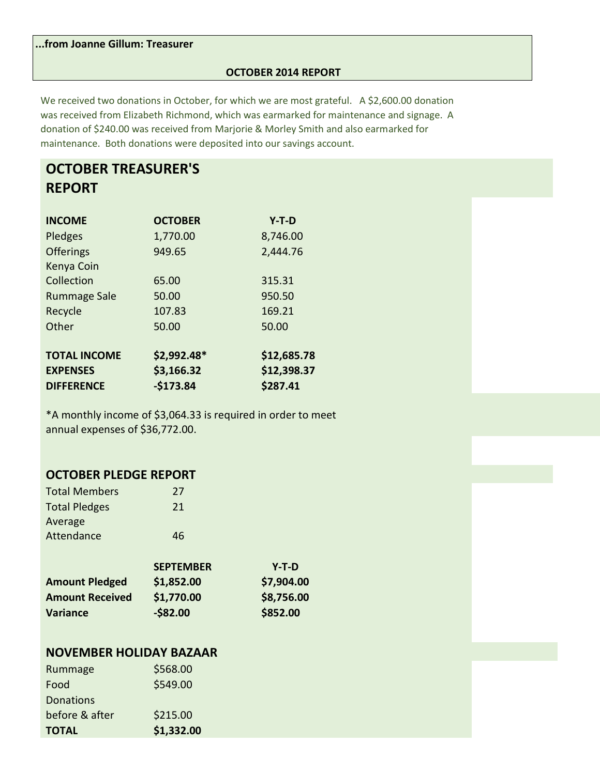**...from Joanne Gillum: Treasurer**

### **OCTOBER 2014 REPORT**

We received two donations in October, for which we are most grateful. A \$2,600.00 donation was received from Elizabeth Richmond, which was earmarked for maintenance and signage. A donation of \$240.00 was received from Marjorie & Morley Smith and also earmarked for maintenance. Both donations were deposited into our savings account.

# **OCTOBER TREASURER'S REPORT**

| <b>INCOME</b>       | <b>OCTOBER</b> | $Y-T-D$     |
|---------------------|----------------|-------------|
| Pledges             | 1,770.00       | 8,746.00    |
| <b>Offerings</b>    | 949.65         | 2,444.76    |
| Kenya Coin          |                |             |
| Collection          | 65.00          | 315.31      |
| <b>Rummage Sale</b> | 50.00          | 950.50      |
| Recycle             | 107.83         | 169.21      |
| Other               | 50.00          | 50.00       |
| <b>TOTAL INCOME</b> | \$2,992.48*    | \$12,685.78 |
| <b>EXPENSES</b>     | \$3,166.32     | \$12,398.37 |
| <b>DIFFERENCE</b>   | $-$173.84$     | \$287.41    |

\*A monthly income of \$3,064.33 is required in order to meet annual expenses of \$36,772.00.

# **OCTOBER PLEDGE REPORT**

| <b>Total Members</b>   | 27               |            |
|------------------------|------------------|------------|
| <b>Total Pledges</b>   | 21               |            |
| Average                |                  |            |
| Attendance             | 46               |            |
|                        |                  |            |
|                        | <b>SEPTEMBER</b> | $Y-T-D$    |
| <b>Amount Pledged</b>  | \$1,852.00       | \$7,904.00 |
| <b>Amount Received</b> | \$1,770.00       | \$8,756.00 |
| <b>Variance</b>        | $-$ \$82.00      | \$852.00   |

# **NOVEMBER HOLIDAY BAZAAR**

| <b>TOTAL</b>     | \$1,332.00 |
|------------------|------------|
| before & after   | \$215.00   |
| <b>Donations</b> |            |
| Food             | \$549.00   |
| Rummage          | \$568.00   |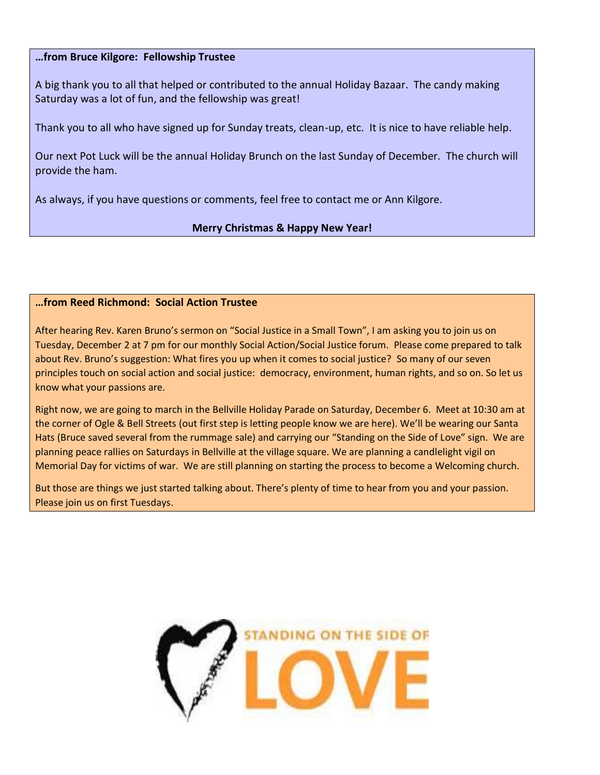# **…from Bruce Kilgore: Fellowship Trustee**

A big thank you to all that helped or contributed to the annual Holiday Bazaar. The candy making Saturday was a lot of fun, and the fellowship was great!

Thank you to all who have signed up for Sunday treats, clean-up, etc. It is nice to have reliable help.

Our next Pot Luck will be the annual Holiday Brunch on the last Sunday of December. The church will provide the ham.

As always, if you have questions or comments, feel free to contact me or Ann Kilgore.

# **Merry Christmas & Happy New Year!**

# **…from Reed Richmond: Social Action Trustee**

After hearing Rev. Karen Bruno's sermon on "Social Justice in a Small Town", I am asking you to join us on Tuesday, December 2 at 7 pm for our monthly Social Action/Social Justice forum. Please come prepared to talk about Rev. Bruno's suggestion: What fires you up when it comes to social justice? So many of our seven principles touch on social action and social justice: democracy, environment, human rights, and so on. So let us know what your passions are.

Right now, we are going to march in the Bellville Holiday Parade on Saturday, December 6. Meet at 10:30 am at the corner of Ogle & Bell Streets (out first step is letting people know we are here). We'll be wearing our Santa Hats (Bruce saved several from the rummage sale) and carrying our "Standing on the Side of Love" sign. We are planning peace rallies on Saturdays in Bellville at the village square. We are planning a candlelight vigil on Memorial Day for victims of war. We are still planning on starting the process to become a Welcoming church.

But those are things we just started talking about. There's plenty of time to hear from you and your passion. Please join us on first Tuesdays.

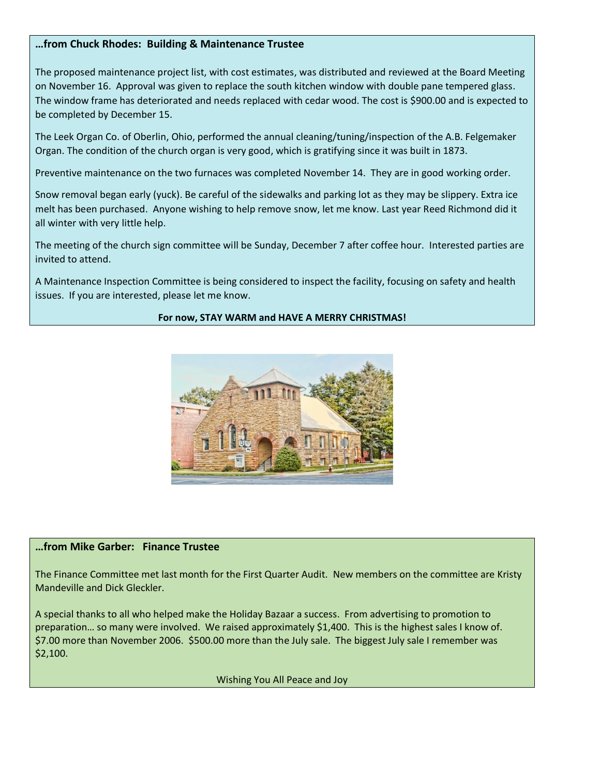# **…from Chuck Rhodes: Building & Maintenance Trustee**

The proposed maintenance project list, with cost estimates, was distributed and reviewed at the Board Meeting on November 16. Approval was given to replace the south kitchen window with double pane tempered glass. The window frame has deteriorated and needs replaced with cedar wood. The cost is \$900.00 and is expected to be completed by December 15.

The Leek Organ Co. of Oberlin, Ohio, performed the annual cleaning/tuning/inspection of the A.B. Felgemaker Organ. The condition of the church organ is very good, which is gratifying since it was built in 1873.

Preventive maintenance on the two furnaces was completed November 14. They are in good working order.

Snow removal began early (yuck). Be careful of the sidewalks and parking lot as they may be slippery. Extra ice melt has been purchased. Anyone wishing to help remove snow, let me know. Last year Reed Richmond did it all winter with very little help.

The meeting of the church sign committee will be Sunday, December 7 after coffee hour. Interested parties are invited to attend.

A Maintenance Inspection Committee is being considered to inspect the facility, focusing on safety and health issues. If you are interested, please let me know.

### **For now, STAY WARM and HAVE A MERRY CHRISTMAS!**



#### **…from Mike Garber: Finance Trustee**

The Finance Committee met last month for the First Quarter Audit. New members on the committee are Kristy Mandeville and Dick Gleckler.

A special thanks to all who helped make the Holiday Bazaar a success. From advertising to promotion to preparation… so many were involved. We raised approximately \$1,400. This is the highest sales I know of. \$7.00 more than November 2006. \$500.00 more than the July sale. The biggest July sale I remember was \$2,100.

Wishing You All Peace and Joy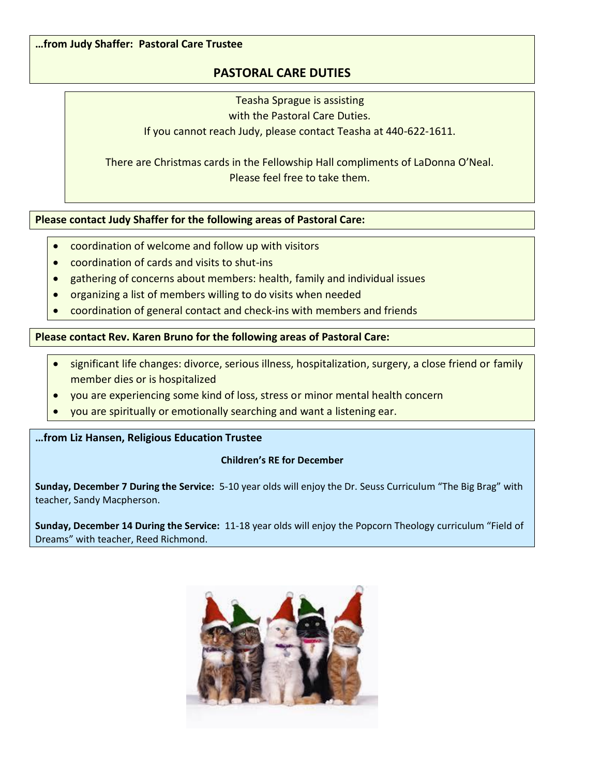**…from Judy Shaffer: Pastoral Care Trustee**

# **PASTORAL CARE DUTIES**

Teasha Sprague is assisting with the Pastoral Care Duties. If you cannot reach Judy, please contact Teasha at 440-622-1611.

There are Christmas cards in the Fellowship Hall compliments of LaDonna O'Neal. Please feel free to take them.

**Please contact Judy Shaffer for the following areas of Pastoral Care:**

- coordination of welcome and follow up with visitors
- coordination of cards and visits to shut-ins
- gathering of concerns about members: health, family and individual issues
- organizing a list of members willing to do visits when needed
- coordination of general contact and check-ins with members and friends

# **Please contact Rev. Karen Bruno for the following areas of Pastoral Care:**

- significant life changes: divorce, serious illness, hospitalization, surgery, a close friend or family member dies or is hospitalized
- you are experiencing some kind of loss, stress or minor mental health concern
- you are spiritually or emotionally searching and want a listening ear.

# **…from Liz Hansen, Religious Education Trustee**

# **Children's RE for December**

**Sunday, December 7 During the Service:** 5-10 year olds will enjoy the Dr. Seuss Curriculum "The Big Brag" with teacher, Sandy Macpherson.

**Sunday, December 14 During the Service:** 11-18 year olds will enjoy the Popcorn Theology curriculum "Field of Dreams" with teacher, Reed Richmond.

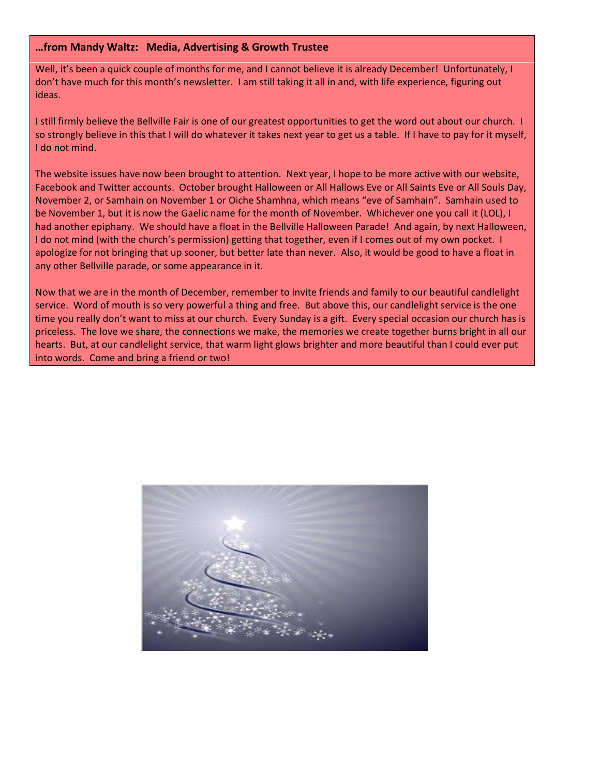#### **…from Mandy Waltz: Media, Advertising & Growth Trustee**

Well, it's been a quick couple of months for me, and I cannot believe it is already December! Unfortunately, I don't have much for this month's newsletter. I am still taking it all in and, with life experience, figuring out ideas.

I still firmly believe the Bellville Fair is one of our greatest opportunities to get the word out about our church. I so strongly believe in this that I will do whatever it takes next year to get us a table. If I have to pay for it myself, I do not mind.

The website issues have now been brought to attention. Next year, I hope to be more active with our website, Facebook and Twitter accounts. October brought Halloween or All Hallows Eve or All Saints Eve or All Souls Day, November 2, or Samhain on November 1 or Oiche Shamhna, which means "eve of Samhain". Samhain used to be November 1, but it is now the Gaelic name for the month of November. Whichever one you call it (LOL), I had another epiphany. We should have a float in the Bellville Halloween Parade! And again, by next Halloween, I do not mind (with the church's permission) getting that together, even if I comes out of my own pocket. I apologize for not bringing that up sooner, but better late than never. Also, it would be good to have a float in any other Bellville parade, or some appearance in it.

Now that we are in the month of December, remember to invite friends and family to our beautiful candlelight service. Word of mouth is so very powerful a thing and free. But above this, our candlelight service is the one time you really don't want to miss at our church. Every Sunday is a gift. Every special occasion our church has is priceless. The love we share, the connections we make, the memories we create together burns bright in all our hearts. But, at our candlelight service, that warm light glows brighter and more beautiful than I could ever put into words. Come and bring a friend or two!

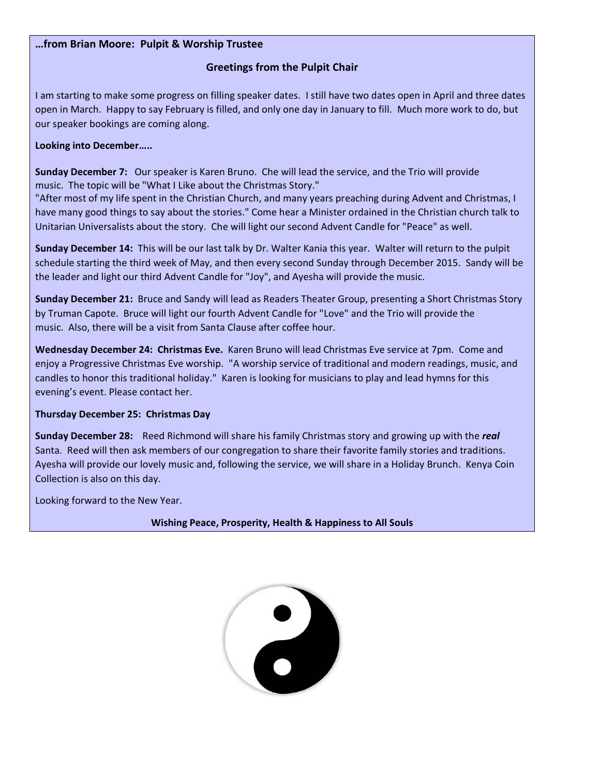### **…from Brian Moore: Pulpit & Worship Trustee**

# **Greetings from the Pulpit Chair**

I am starting to make some progress on filling speaker dates. I still have two dates open in April and three dates open in March. Happy to say February is filled, and only one day in January to fill. Much more work to do, but our speaker bookings are coming along.

### **Looking into December…..**

**Sunday December 7:** Our speaker is Karen Bruno. Che will lead the service, and the Trio will provide music. The topic will be "What I Like about the Christmas Story."

"After most of my life spent in the Christian Church, and many years preaching during Advent and Christmas, I have many good things to say about the stories." Come hear a Minister ordained in the Christian church talk to Unitarian Universalists about the story. Che will light our second Advent Candle for "Peace" as well.

**Sunday December 14:** This will be our last talk by Dr. Walter Kania this year. Walter will return to the pulpit schedule starting the third week of May, and then every second Sunday through December 2015. Sandy will be the leader and light our third Advent Candle for "Joy", and Ayesha will provide the music.

**Sunday December 21:** Bruce and Sandy will lead as Readers Theater Group, presenting a Short Christmas Story by Truman Capote.Bruce will light our fourth Advent Candle for "Love" and the Trio will provide the music. Also, there will be a visit from Santa Clause after coffee hour.

**Wednesday December 24: Christmas Eve.** Karen Bruno will lead Christmas Eve service at 7pm.Come and enjoy a Progressive Christmas Eve worship."A worship service of traditional and modern readings, music, and candles to honor this traditional holiday." Karen is looking for musicians to play and lead hymns for this evening's event. Please contact her.

#### **Thursday December 25: Christmas Day**

**Sunday December 28:** Reed Richmond will share his family Christmas story and growing up with the *real* Santa. Reed will then ask members of our congregation to share their favorite family stories and traditions. Ayesha will provide our lovely music and, following the service, we will share in a Holiday Brunch. Kenya Coin Collection is also on this day.

Looking forward to the New Year.

**Wishing Peace, Prosperity, Health & Happiness to All Souls**

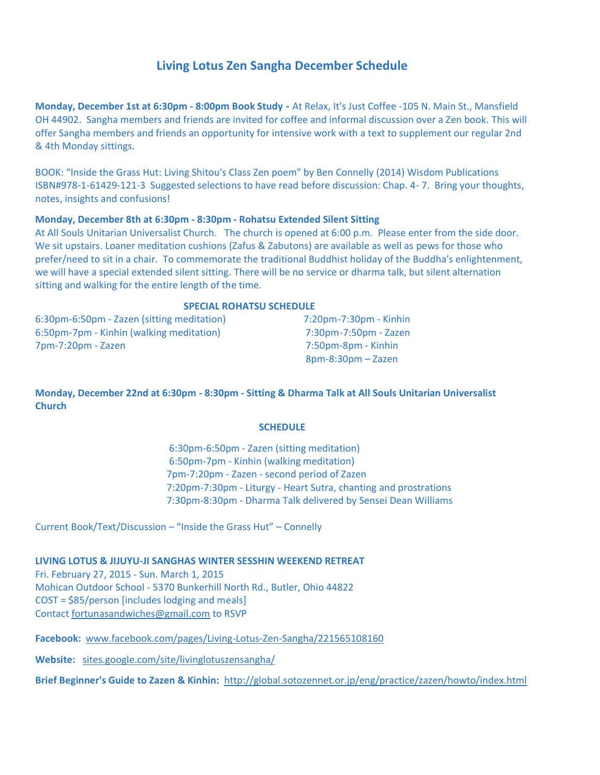# **Living Lotus Zen Sangha December Schedule**

**Monday, December 1st at 6:30pm - 8:00pm Book Study -** At Relax, It's Just Coffee -105 N. Main St., Mansfield OH 44902. Sangha members and friends are invited for coffee and informal discussion over a Zen book. This will offer Sangha members and friends an opportunity for intensive work with a text to supplement our regular 2nd & 4th Monday sittings.

BOOK: "Inside the Grass Hut: Living Shitou's Class Zen poem" by Ben Connelly (2014) Wisdom Publications ISBN#978-1-61429-121-3 Suggested selections to have read before discussion: Chap. 4- 7. Bring your thoughts, notes, insights and confusions!

#### **Monday, December 8th at 6:30pm - 8:30pm - Rohatsu Extended Silent Sitting**

At All Souls Unitarian Universalist Church. The church is opened at 6:00 p.m. Please enter from the side door. We sit upstairs. Loaner meditation cushions (Zafus & Zabutons) are available as well as pews for those who prefer/need to sit in a chair. To commemorate the traditional Buddhist holiday of the Buddha's enlightenment, we will have a special extended silent sitting. There will be no service or dharma talk, but silent alternation sitting and walking for the entire length of the time.

#### **SPECIAL ROHATSU SCHEDULE**

6:30pm-6:50pm - Zazen (sitting meditation) 7:20pm-7:30pm - Kinhin 6:50pm-7pm - Kinhin (walking meditation) 7:30pm-7:50pm - Zazen 7pm-7:20pm - Zazen 7:50pm-8pm - Kinhin

8pm-8:30pm – Zazen

**Monday, December 22nd at 6:30pm - 8:30pm - Sitting & Dharma Talk at All Souls Unitarian Universalist Church**

#### **SCHEDULE**

 6:30pm-6:50pm - Zazen (sitting meditation) 6:50pm-7pm - Kinhin (walking meditation) 7pm-7:20pm - Zazen - second period of Zazen 7:20pm-7:30pm - Liturgy - Heart Sutra, chanting and prostrations 7:30pm-8:30pm - Dharma Talk delivered by Sensei Dean Williams

Current Book/Text/Discussion – "Inside the Grass Hut" – Connelly

#### **LIVING LOTUS & JIJUYU-JI SANGHAS WINTER SESSHIN WEEKEND RETREAT**

Fri. February 27, 2015 - Sun. March 1, 2015 Mohican Outdoor School - 5370 Bunkerhill North Rd., Butler, Ohio 44822 COST = \$85/person [includes lodging and meals] Contact [fortunasandwiches@gmail.com](mailto:fortunasandwiches@gmail.com) to RSVP

**Facebook:** [www.facebook.com/pages/Living-Lotus-Zen-Sangha/221565108160](http://www.facebook.com/pages/Living-Lotus-Zen-Sangha/221565108160)

**Website:** [sites.google.com/site/livinglotuszensangha/](https://sites.google.com/site/livinglotuszensangha/)

**Brief Beginner's Guide to Zazen & Kinhin:** <http://global.sotozennet.or.jp/eng/practice/zazen/howto/index.html>